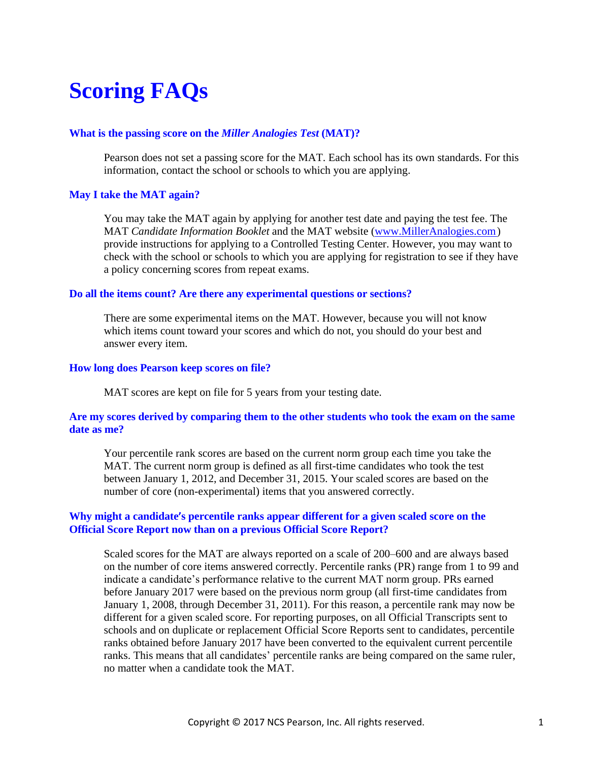# **Scoring FAQs**

## **What is the passing score on the** *Miller Analogies Test* **(MAT)?**

Pearson does not set a passing score for the MAT. Each school has its own standards. For this information, contact the school or schools to which you are applying.

## **May I take the MAT again?**

You may take the MAT again by applying for another test date and paying the test fee. The MAT *Candidate Information Booklet* and the MAT website [\(www.MillerAnalogies.com\)](http://www.milleranalogies.com/) provide instructions for applying to a Controlled Testing Center. However, you may want to check with the school or schools to which you are applying for registration to see if they have a policy concerning scores from repeat exams.

### **Do all the items count? Are there any experimental questions or sections?**

There are some experimental items on the MAT. However, because you will not know which items count toward your scores and which do not, you should do your best and answer every item.

### **How long does Pearson keep scores on file?**

MAT scores are kept on file for 5 years from your testing date.

## **Are my scores derived by comparing them to the other students who took the exam on the same date as me?**

Your percentile rank scores are based on the current norm group each time you take the MAT. The current norm group is defined as all first-time candidates who took the test between January 1, 2012, and December 31, 2015. Your scaled scores are based on the number of core (non-experimental) items that you answered correctly.

# **Why might a candidate's percentile ranks appear different for a given scaled score on the Official Score Report now than on a previous Official Score Report?**

Scaled scores for the MAT are always reported on a scale of 200–600 and are always based on the number of core items answered correctly. Percentile ranks (PR) range from 1 to 99 and indicate a candidate's performance relative to the current MAT norm group. PRs earned before January 2017 were based on the previous norm group (all first-time candidates from January 1, 2008, through December 31, 2011). For this reason, a percentile rank may now be different for a given scaled score. For reporting purposes, on all Official Transcripts sent to schools and on duplicate or replacement Official Score Reports sent to candidates, percentile ranks obtained before January 2017 have been converted to the equivalent current percentile ranks. This means that all candidates' percentile ranks are being compared on the same ruler, no matter when a candidate took the MAT.